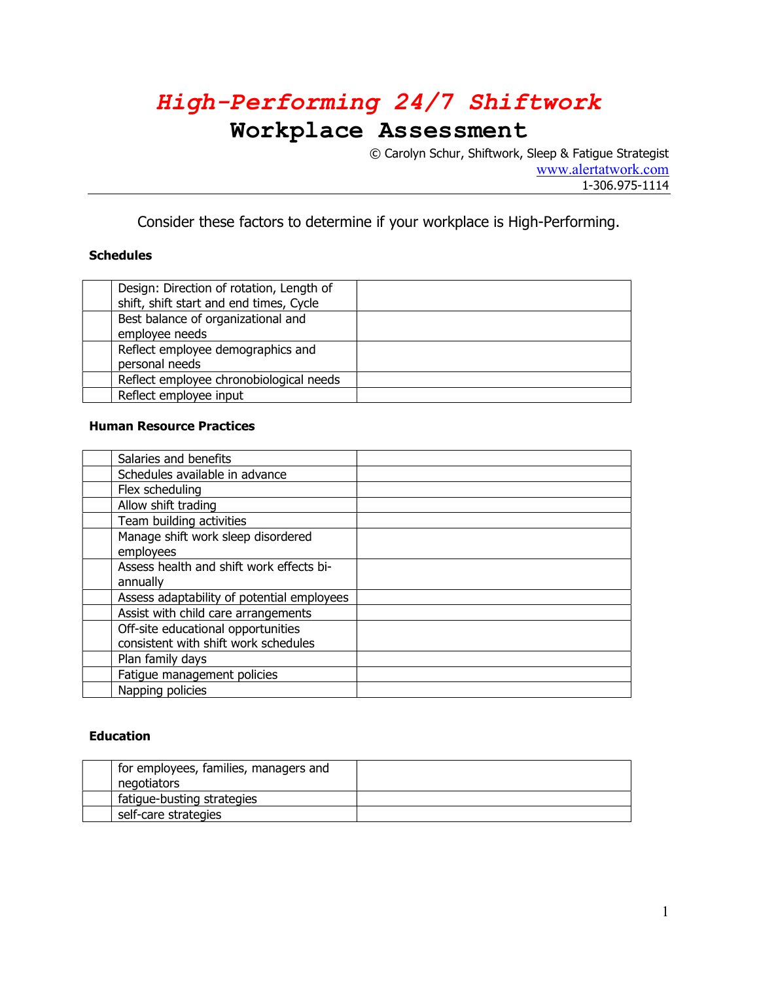## High-Performing 24/7 Shiftwork

### Workplace Assessment

© Carolyn Schur, Shiftwork, Sleep & Fatigue Strategist www.alertatwork.com 1-306.975-1114

Consider these factors to determine if your workplace is High-Performing.

### **Schedules**

| Design: Direction of rotation, Length of<br>shift, shift start and end times, Cycle |  |
|-------------------------------------------------------------------------------------|--|
| Best balance of organizational and<br>employee needs                                |  |
| Reflect employee demographics and<br>personal needs                                 |  |
| Reflect employee chronobiological needs                                             |  |
| Reflect employee input                                                              |  |

#### Human Resource Practices

| Salaries and benefits                      |  |
|--------------------------------------------|--|
| Schedules available in advance             |  |
| Flex scheduling                            |  |
| Allow shift trading                        |  |
| Team building activities                   |  |
| Manage shift work sleep disordered         |  |
| employees                                  |  |
| Assess health and shift work effects bi-   |  |
| annually                                   |  |
| Assess adaptability of potential employees |  |
| Assist with child care arrangements        |  |
| Off-site educational opportunities         |  |
| consistent with shift work schedules       |  |
| Plan family days                           |  |
| Fatigue management policies                |  |
| Napping policies                           |  |

### Education

| for employees, families, managers and |  |
|---------------------------------------|--|
| negotiators                           |  |
| fatique-busting strategies            |  |
| self-care strategies                  |  |